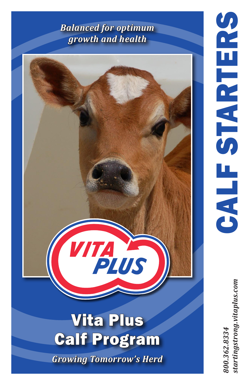# *Balanced for optimum growth and health*

# **TALES** Vita Plus Calf Program *Growing Tomorrow's Herd*

startingstrong.vitaplus.com *800.362.8334 startingstrong.vitaplus.com*800.362.8334